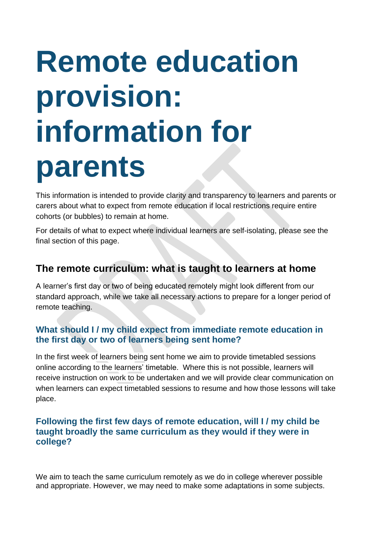# **Remote education provision: information for parents**

This information is intended to provide clarity and transparency to learners and parents or carers about what to expect from remote education if local restrictions require entire cohorts (or bubbles) to remain at home.

For details of what to expect where individual learners are self-isolating, please see the final section of this page.

# **The remote curriculum: what is taught to learners at home**

A learner's first day or two of being educated remotely might look different from our standard approach, while we take all necessary actions to prepare for a longer period of remote teaching.

## **What should I / my child expect from immediate remote education in the first day or two of learners being sent home?**

In the first week of learners being sent home we aim to provide timetabled sessions online according to the learners' timetable. Where this is not possible, learners will receive instruction on work to be undertaken and we will provide clear communication on when learners can expect timetabled sessions to resume and how those lessons will take place.

### **Following the first few days of remote education, will I / my child be taught broadly the same curriculum as they would if they were in college?**

We aim to teach the same curriculum remotely as we do in college wherever possible and appropriate. However, we may need to make some adaptations in some subjects.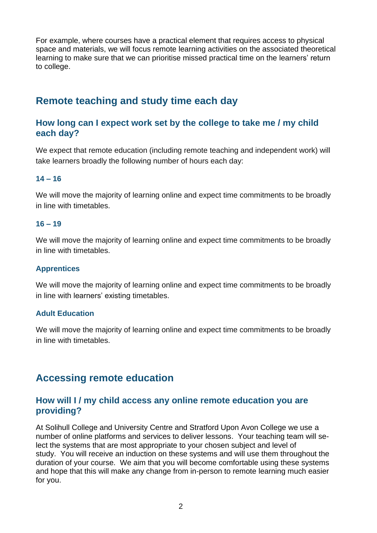For example, where courses have a practical element that requires access to physical space and materials, we will focus remote learning activities on the associated theoretical learning to make sure that we can prioritise missed practical time on the learners' return to college.

# **Remote teaching and study time each day**

#### **How long can I expect work set by the college to take me / my child each day?**

We expect that remote education (including remote teaching and independent work) will take learners broadly the following number of hours each day:

#### **14 – 16**

We will move the majority of learning online and expect time commitments to be broadly in line with timetables.

#### **16 – 19**

We will move the majority of learning online and expect time commitments to be broadly in line with timetables.

#### **Apprentices**

We will move the majority of learning online and expect time commitments to be broadly in line with learners' existing timetables.

#### **Adult Education**

We will move the majority of learning online and expect time commitments to be broadly in line with timetables.

# **Accessing remote education**

### **How will I / my child access any online remote education you are providing?**

At Solihull College and University Centre and Stratford Upon Avon College we use a number of online platforms and services to deliver lessons. Your teaching team will select the systems that are most appropriate to your chosen subject and level of study. You will receive an induction on these systems and will use them throughout the duration of your course. We aim that you will become comfortable using these systems and hope that this will make any change from in-person to remote learning much easier for you.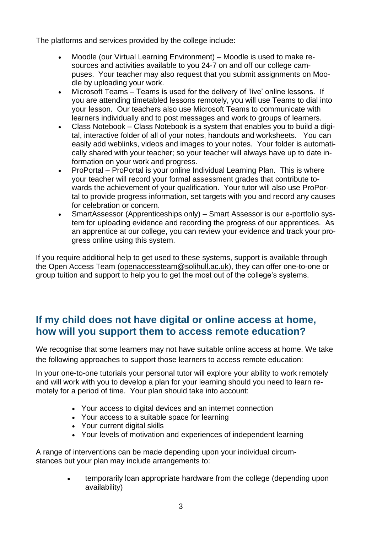The platforms and services provided by the college include:

- Moodle (our Virtual Learning Environment) Moodle is used to make resources and activities available to you 24-7 on and off our college campuses. Your teacher may also request that you submit assignments on Moodle by uploading your work.
- Microsoft Teams Teams is used for the delivery of 'live' online lessons. If you are attending timetabled lessons remotely, you will use Teams to dial into your lesson. Our teachers also use Microsoft Teams to communicate with learners individually and to post messages and work to groups of learners.
- Class Notebook Class Notebook is a system that enables you to build a digital, interactive folder of all of your notes, handouts and worksheets. You can easily add weblinks, videos and images to your notes. Your folder is automatically shared with your teacher; so your teacher will always have up to date information on your work and progress.
- ProPortal ProPortal is your online Individual Learning Plan. This is where your teacher will record your formal assessment grades that contribute towards the achievement of your qualification. Your tutor will also use ProPortal to provide progress information, set targets with you and record any causes for celebration or concern.
- SmartAssessor (Apprenticeships only) Smart Assessor is our e-portfolio system for uploading evidence and recording the progress of our apprentices. As an apprentice at our college, you can review your evidence and track your progress online using this system.

If you require additional help to get used to these systems, support is available through the Open Access Team [\(openaccessteam@solihull.ac.uk\)](mailto:openaccessteam@solihull.ac.uk), they can offer one-to-one or group tuition and support to help you to get the most out of the college's systems.

## **If my child does not have digital or online access at home, how will you support them to access remote education?**

We recognise that some learners may not have suitable online access at home. We take the following approaches to support those learners to access remote education:

In your one-to-one tutorials your personal tutor will explore your ability to work remotely and will work with you to develop a plan for your learning should you need to learn remotely for a period of time. Your plan should take into account:

- Your access to digital devices and an internet connection
- Your access to a suitable space for learning
- Your current digital skills
- Your levels of motivation and experiences of independent learning

A range of interventions can be made depending upon your individual circumstances but your plan may include arrangements to:

> • temporarily loan appropriate hardware from the college (depending upon availability)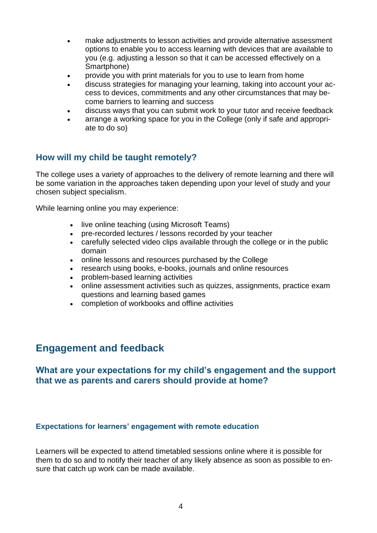- make adjustments to lesson activities and provide alternative assessment options to enable you to access learning with devices that are available to you (e.g. adjusting a lesson so that it can be accessed effectively on a Smartphone)
- provide you with print materials for you to use to learn from home
- discuss strategies for managing your learning, taking into account your access to devices, commitments and any other circumstances that may become barriers to learning and success
- discuss ways that you can submit work to your tutor and receive feedback
- arrange a working space for you in the College (only if safe and appropriate to do so)

## **How will my child be taught remotely?**

The college uses a variety of approaches to the delivery of remote learning and there will be some variation in the approaches taken depending upon your level of study and your chosen subject specialism.

While learning online you may experience:

- live online teaching (using Microsoft Teams)
- pre-recorded lectures / lessons recorded by your teacher
- carefully selected video clips available through the college or in the public domain
- online lessons and resources purchased by the College
- research using books, e-books, journals and online resources
- problem-based learning activities
- online assessment activities such as quizzes, assignments, practice exam questions and learning based games
- completion of workbooks and offline activities

## **Engagement and feedback**

#### **What are your expectations for my child's engagement and the support that we as parents and carers should provide at home?**

#### **Expectations for learners' engagement with remote education**

Learners will be expected to attend timetabled sessions online where it is possible for them to do so and to notify their teacher of any likely absence as soon as possible to ensure that catch up work can be made available.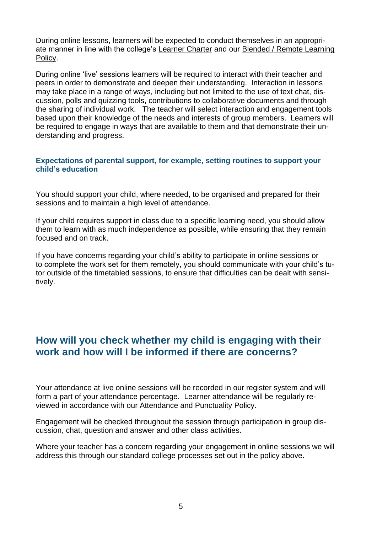During online lessons, learners will be expected to conduct themselves in an appropriate manner in line with the college's [Learner](https://www.solihull.ac.uk/wp-content/uploads/2018/09/Student-Charter-2018.pdf) Charter and our [Blended / Remote Learning](https://www.solihull.ac.uk/wp-content/uploads/2020/12/blended-remote-learning-policy.pdf)  [Policy.](https://www.solihull.ac.uk/wp-content/uploads/2020/12/blended-remote-learning-policy.pdf)

During online 'live' sessions learners will be required to interact with their teacher and peers in order to demonstrate and deepen their understanding. Interaction in lessons may take place in a range of ways, including but not limited to the use of text chat, discussion, polls and quizzing tools, contributions to collaborative documents and through the sharing of individual work. The teacher will select interaction and engagement tools based upon their knowledge of the needs and interests of group members. Learners will be required to engage in ways that are available to them and that demonstrate their understanding and progress.

#### **Expectations of parental support, for example, setting routines to support your child's education**

You should support your child, where needed, to be organised and prepared for their sessions and to maintain a high level of attendance.

If your child requires support in class due to a specific learning need, you should allow them to learn with as much independence as possible, while ensuring that they remain focused and on track.

If you have concerns regarding your child's ability to participate in online sessions or to complete the work set for them remotely, you should communicate with your child's tutor outside of the timetabled sessions, to ensure that difficulties can be dealt with sensitively.

## **How will you check whether my child is engaging with their work and how will I be informed if there are concerns?**

Your attendance at live online sessions will be recorded in our register system and will form a part of your attendance percentage. Learner attendance will be regularly reviewed in accordance with our Attendance and Punctuality Policy.

Engagement will be checked throughout the session through participation in group discussion, chat, question and answer and other class activities.

Where your teacher has a concern regarding your engagement in online sessions we will address this through our standard college processes set out in the policy above.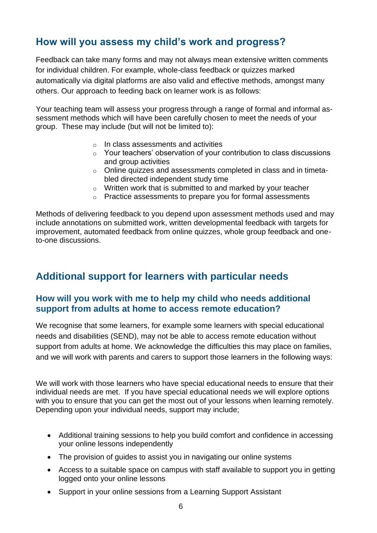# **How will you assess my child's work and progress?**

Feedback can take many forms and may not always mean extensive written comments for individual children. For example, whole-class feedback or quizzes marked automatically via digital platforms are also valid and effective methods, amongst many others. Our approach to feeding back on learner work is as follows:

Your teaching team will assess your progress through a range of formal and informal assessment methods which will have been carefully chosen to meet the needs of your group. These may include (but will not be limited to):

- o In class assessments and activities
- $\circ$  Your teachers' observation of your contribution to class discussions and group activities
- o Online quizzes and assessments completed in class and in timetabled directed independent study time
- o Written work that is submitted to and marked by your teacher
- o Practice assessments to prepare you for formal assessments

Methods of delivering feedback to you depend upon assessment methods used and may include annotations on submitted work, written developmental feedback with targets for improvement, automated feedback from online quizzes, whole group feedback and oneto-one discussions.

# **Additional support for learners with particular needs**

### **How will you work with me to help my child who needs additional support from adults at home to access remote education?**

We recognise that some learners, for example some learners with special educational needs and disabilities (SEND), may not be able to access remote education without support from adults at home. We acknowledge the difficulties this may place on families, and we will work with parents and carers to support those learners in the following ways:

We will work with those learners who have special educational needs to ensure that their individual needs are met. If you have special educational needs we will explore options with you to ensure that you can get the most out of your lessons when learning remotely. Depending upon your individual needs, support may include;

- Additional training sessions to help you build comfort and confidence in accessing your online lessons independently
- The provision of guides to assist you in navigating our online systems
- Access to a suitable space on campus with staff available to support you in getting logged onto your online lessons
- Support in your online sessions from a Learning Support Assistant